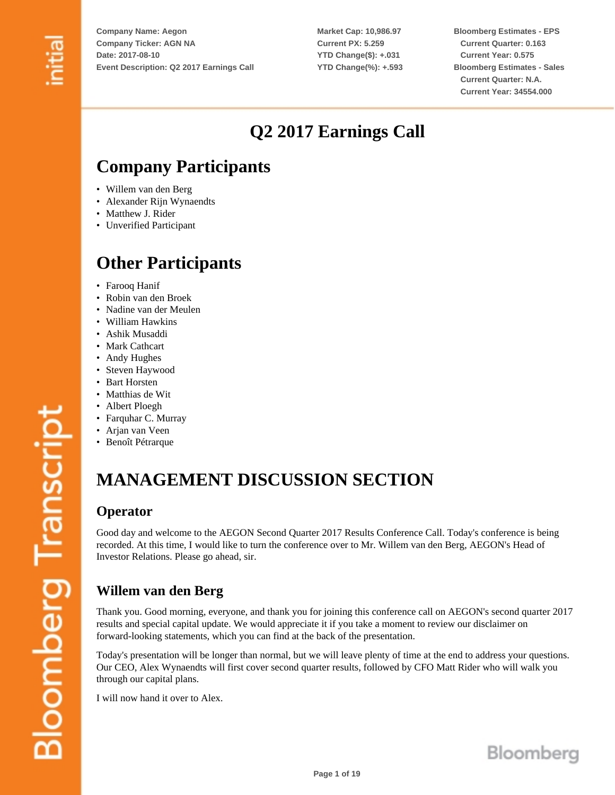**Market Cap: 10,986.97 Current PX: 5.259 YTD Change(\$): +.031 YTD Change(%): +.593** **Bloomberg Estimates - EPS Current Quarter: 0.163 Current Year: 0.575 Bloomberg Estimates - Sales Current Quarter: N.A. Current Year: 34554.000**

## **Q2 2017 Earnings Call**

## **Company Participants**

- Willem van den Berg
- Alexander Rijn Wynaendts
- Matthew J. Rider
- Unverified Participant

## **Other Participants**

- Farooq Hanif
- Robin van den Broek
- Nadine van der Meulen
- William Hawkins
- Ashik Musaddi
- Mark Cathcart
- Andy Hughes
- Steven Haywood
- Bart Horsten
- Matthias de Wit
- Albert Ploegh
- Farquhar C. Murray
- Arjan van Veen
- Benoît Pétrarque

## **MANAGEMENT DISCUSSION SECTION**

#### **Operator**

Good day and welcome to the AEGON Second Quarter 2017 Results Conference Call. Today's conference is being recorded. At this time, I would like to turn the conference over to Mr. Willem van den Berg, AEGON's Head of Investor Relations. Please go ahead, sir.

## **Willem van den Berg**

Thank you. Good morning, everyone, and thank you for joining this conference call on AEGON's second quarter 2017 results and special capital update. We would appreciate it if you take a moment to review our disclaimer on forward-looking statements, which you can find at the back of the presentation.

Today's presentation will be longer than normal, but we will leave plenty of time at the end to address your questions. Our CEO, Alex Wynaendts will first cover second quarter results, followed by CFO Matt Rider who will walk you through our capital plans.

I will now hand it over to Alex.

**Bloomberg Transcript** 

Bloomberg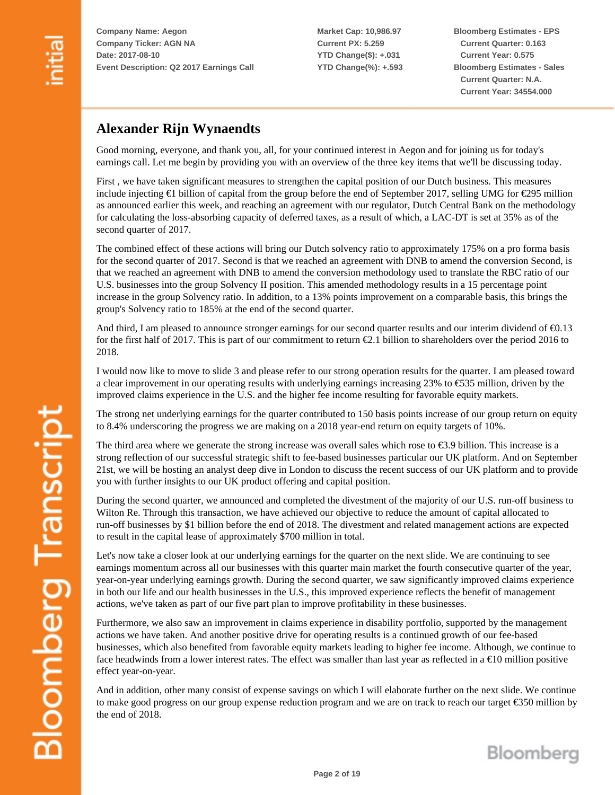**Market Cap: 10,986.97 Current PX: 5.259 YTD Change(\$): +.031 YTD Change(%): +.593** **Bloomberg Estimates - EPS Current Quarter: 0.163 Current Year: 0.575 Bloomberg Estimates - Sales Current Quarter: N.A. Current Year: 34554.000**

### **Alexander Rijn Wynaendts**

Good morning, everyone, and thank you, all, for your continued interest in Aegon and for joining us for today's earnings call. Let me begin by providing you with an overview of the three key items that we'll be discussing today.

First , we have taken significant measures to strengthen the capital position of our Dutch business. This measures include injecting €1 billion of capital from the group before the end of September 2017, selling UMG for €295 million as announced earlier this week, and reaching an agreement with our regulator, Dutch Central Bank on the methodology for calculating the loss-absorbing capacity of deferred taxes, as a result of which, a LAC-DT is set at 35% as of the second quarter of 2017.

The combined effect of these actions will bring our Dutch solvency ratio to approximately 175% on a pro forma basis for the second quarter of 2017. Second is that we reached an agreement with DNB to amend the conversion Second, is that we reached an agreement with DNB to amend the conversion methodology used to translate the RBC ratio of our U.S. businesses into the group Solvency II position. This amended methodology results in a 15 percentage point increase in the group Solvency ratio. In addition, to a 13% points improvement on a comparable basis, this brings the group's Solvency ratio to 185% at the end of the second quarter.

And third, I am pleased to announce stronger earnings for our second quarter results and our interim dividend of  $\epsilon$ 0.13 for the first half of 2017. This is part of our commitment to return  $\epsilon$ 2.1 billion to shareholders over the period 2016 to 2018.

I would now like to move to slide 3 and please refer to our strong operation results for the quarter. I am pleased toward a clear improvement in our operating results with underlying earnings increasing 23% to €535 million, driven by the improved claims experience in the U.S. and the higher fee income resulting for favorable equity markets.

The strong net underlying earnings for the quarter contributed to 150 basis points increase of our group return on equity to 8.4% underscoring the progress we are making on a 2018 year-end return on equity targets of 10%.

The third area where we generate the strong increase was overall sales which rose to €3.9 billion. This increase is a strong reflection of our successful strategic shift to fee-based businesses particular our UK platform. And on September 21st, we will be hosting an analyst deep dive in London to discuss the recent success of our UK platform and to provide you with further insights to our UK product offering and capital position.

During the second quarter, we announced and completed the divestment of the majority of our U.S. run-off business to Wilton Re. Through this transaction, we have achieved our objective to reduce the amount of capital allocated to run-off businesses by \$1 billion before the end of 2018. The divestment and related management actions are expected to result in the capital lease of approximately \$700 million in total.

Let's now take a closer look at our underlying earnings for the quarter on the next slide. We are continuing to see earnings momentum across all our businesses with this quarter main market the fourth consecutive quarter of the year, year-on-year underlying earnings growth. During the second quarter, we saw significantly improved claims experience in both our life and our health businesses in the U.S., this improved experience reflects the benefit of management actions, we've taken as part of our five part plan to improve profitability in these businesses.

Furthermore, we also saw an improvement in claims experience in disability portfolio, supported by the management actions we have taken. And another positive drive for operating results is a continued growth of our fee-based businesses, which also benefited from favorable equity markets leading to higher fee income. Although, we continue to face headwinds from a lower interest rates. The effect was smaller than last year as reflected in a  $\epsilon$ 10 million positive effect year-on-year.

And in addition, other many consist of expense savings on which I will elaborate further on the next slide. We continue to make good progress on our group expense reduction program and we are on track to reach our target €350 million by the end of 2018.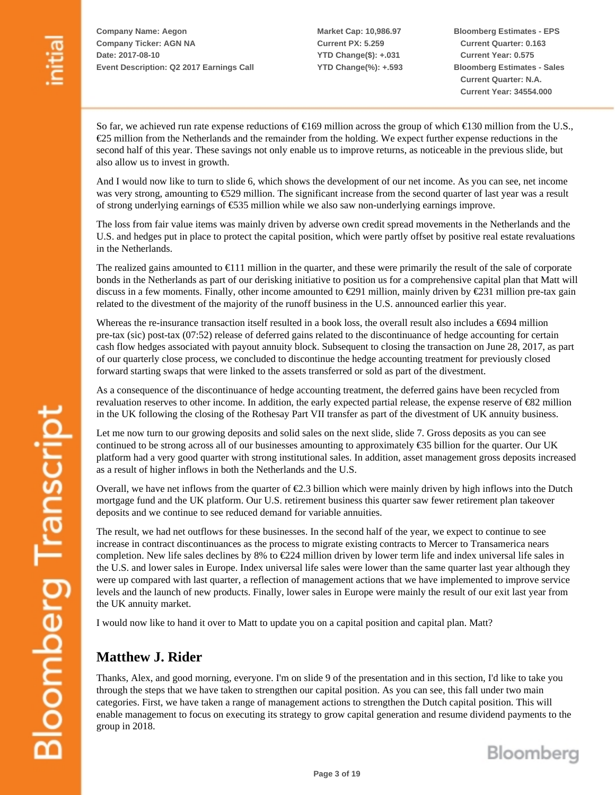**Market Cap: 10,986.97 Current PX: 5.259 YTD Change(\$): +.031 YTD Change(%): +.593** **Bloomberg Estimates - EPS Current Quarter: 0.163 Current Year: 0.575 Bloomberg Estimates - Sales Current Quarter: N.A. Current Year: 34554.000**

So far, we achieved run rate expense reductions of  $\epsilon$ 169 million across the group of which  $\epsilon$ 130 million from the U.S., €25 million from the Netherlands and the remainder from the holding. We expect further expense reductions in the second half of this year. These savings not only enable us to improve returns, as noticeable in the previous slide, but also allow us to invest in growth.

And I would now like to turn to slide 6, which shows the development of our net income. As you can see, net income was very strong, amounting to €529 million. The significant increase from the second quarter of last year was a result of strong underlying earnings of  $\epsilon$ 535 million while we also saw non-underlying earnings improve.

The loss from fair value items was mainly driven by adverse own credit spread movements in the Netherlands and the U.S. and hedges put in place to protect the capital position, which were partly offset by positive real estate revaluations in the Netherlands.

The realized gains amounted to €111 million in the quarter, and these were primarily the result of the sale of corporate bonds in the Netherlands as part of our derisking initiative to position us for a comprehensive capital plan that Matt will discuss in a few moments. Finally, other income amounted to  $\epsilon$ 291 million, mainly driven by  $\epsilon$ 231 million pre-tax gain related to the divestment of the majority of the runoff business in the U.S. announced earlier this year.

Whereas the re-insurance transaction itself resulted in a book loss, the overall result also includes a  $\epsilon$ 694 million pre-tax (sic) post-tax (07:52) release of deferred gains related to the discontinuance of hedge accounting for certain cash flow hedges associated with payout annuity block. Subsequent to closing the transaction on June 28, 2017, as part of our quarterly close process, we concluded to discontinue the hedge accounting treatment for previously closed forward starting swaps that were linked to the assets transferred or sold as part of the divestment.

As a consequence of the discontinuance of hedge accounting treatment, the deferred gains have been recycled from revaluation reserves to other income. In addition, the early expected partial release, the expense reserve of €82 million in the UK following the closing of the Rothesay Part VII transfer as part of the divestment of UK annuity business.

Let me now turn to our growing deposits and solid sales on the next slide, slide 7. Gross deposits as you can see continued to be strong across all of our businesses amounting to approximately €35 billion for the quarter. Our UK platform had a very good quarter with strong institutional sales. In addition, asset management gross deposits increased as a result of higher inflows in both the Netherlands and the U.S.

Overall, we have net inflows from the quarter of  $\epsilon$ 2.3 billion which were mainly driven by high inflows into the Dutch mortgage fund and the UK platform. Our U.S. retirement business this quarter saw fewer retirement plan takeover deposits and we continue to see reduced demand for variable annuities.

The result, we had net outflows for these businesses. In the second half of the year, we expect to continue to see increase in contract discontinuances as the process to migrate existing contracts to Mercer to Transamerica nears completion. New life sales declines by 8% to €224 million driven by lower term life and index universal life sales in the U.S. and lower sales in Europe. Index universal life sales were lower than the same quarter last year although they were up compared with last quarter, a reflection of management actions that we have implemented to improve service levels and the launch of new products. Finally, lower sales in Europe were mainly the result of our exit last year from the UK annuity market.

I would now like to hand it over to Matt to update you on a capital position and capital plan. Matt?

#### **Matthew J. Rider**

Thanks, Alex, and good morning, everyone. I'm on slide 9 of the presentation and in this section, I'd like to take you through the steps that we have taken to strengthen our capital position. As you can see, this fall under two main categories. First, we have taken a range of management actions to strengthen the Dutch capital position. This will enable management to focus on executing its strategy to grow capital generation and resume dividend payments to the group in 2018.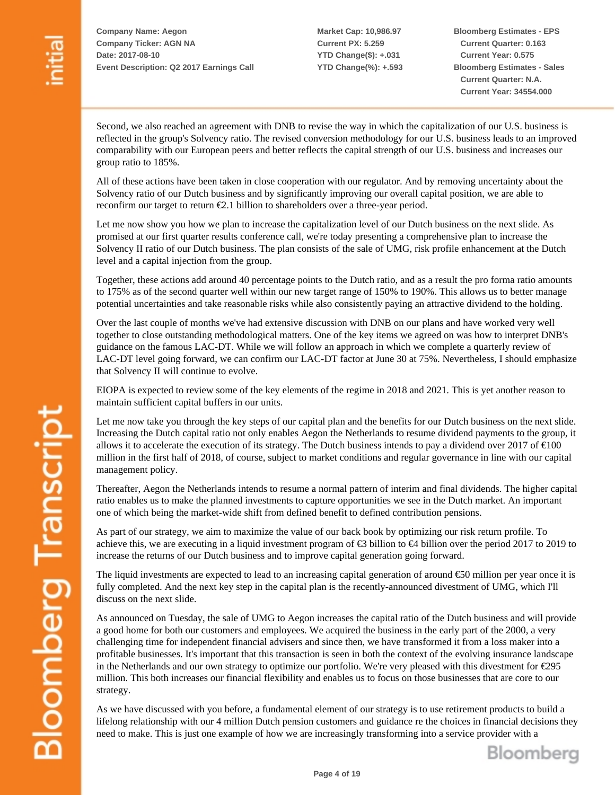**Market Cap: 10,986.97 Current PX: 5.259 YTD Change(\$): +.031 YTD Change(%): +.593** **Bloomberg Estimates - EPS Current Quarter: 0.163 Current Year: 0.575 Bloomberg Estimates - Sales Current Quarter: N.A. Current Year: 34554.000**

Second, we also reached an agreement with DNB to revise the way in which the capitalization of our U.S. business is reflected in the group's Solvency ratio. The revised conversion methodology for our U.S. business leads to an improved comparability with our European peers and better reflects the capital strength of our U.S. business and increases our group ratio to 185%.

All of these actions have been taken in close cooperation with our regulator. And by removing uncertainty about the Solvency ratio of our Dutch business and by significantly improving our overall capital position, we are able to reconfirm our target to return  $\epsilon$ 2.1 billion to shareholders over a three-year period.

Let me now show you how we plan to increase the capitalization level of our Dutch business on the next slide. As promised at our first quarter results conference call, we're today presenting a comprehensive plan to increase the Solvency II ratio of our Dutch business. The plan consists of the sale of UMG, risk profile enhancement at the Dutch level and a capital injection from the group.

Together, these actions add around 40 percentage points to the Dutch ratio, and as a result the pro forma ratio amounts to 175% as of the second quarter well within our new target range of 150% to 190%. This allows us to better manage potential uncertainties and take reasonable risks while also consistently paying an attractive dividend to the holding.

Over the last couple of months we've had extensive discussion with DNB on our plans and have worked very well together to close outstanding methodological matters. One of the key items we agreed on was how to interpret DNB's guidance on the famous LAC-DT. While we will follow an approach in which we complete a quarterly review of LAC-DT level going forward, we can confirm our LAC-DT factor at June 30 at 75%. Nevertheless, I should emphasize that Solvency II will continue to evolve.

EIOPA is expected to review some of the key elements of the regime in 2018 and 2021. This is yet another reason to maintain sufficient capital buffers in our units.

Let me now take you through the key steps of our capital plan and the benefits for our Dutch business on the next slide. Increasing the Dutch capital ratio not only enables Aegon the Netherlands to resume dividend payments to the group, it allows it to accelerate the execution of its strategy. The Dutch business intends to pay a dividend over 2017 of  $\epsilon$ 100 million in the first half of 2018, of course, subject to market conditions and regular governance in line with our capital management policy.

Thereafter, Aegon the Netherlands intends to resume a normal pattern of interim and final dividends. The higher capital ratio enables us to make the planned investments to capture opportunities we see in the Dutch market. An important one of which being the market-wide shift from defined benefit to defined contribution pensions.

As part of our strategy, we aim to maximize the value of our back book by optimizing our risk return profile. To achieve this, we are executing in a liquid investment program of €3 billion to €4 billion over the period 2017 to 2019 to increase the returns of our Dutch business and to improve capital generation going forward.

The liquid investments are expected to lead to an increasing capital generation of around €50 million per year once it is fully completed. And the next key step in the capital plan is the recently-announced divestment of UMG, which I'll discuss on the next slide.

As announced on Tuesday, the sale of UMG to Aegon increases the capital ratio of the Dutch business and will provide a good home for both our customers and employees. We acquired the business in the early part of the 2000, a very challenging time for independent financial advisers and since then, we have transformed it from a loss maker into a profitable businesses. It's important that this transaction is seen in both the context of the evolving insurance landscape in the Netherlands and our own strategy to optimize our portfolio. We're very pleased with this divestment for €295 million. This both increases our financial flexibility and enables us to focus on those businesses that are core to our strategy.

As we have discussed with you before, a fundamental element of our strategy is to use retirement products to build a lifelong relationship with our 4 million Dutch pension customers and guidance re the choices in financial decisions they need to make. This is just one example of how we are increasingly transforming into a service provider with a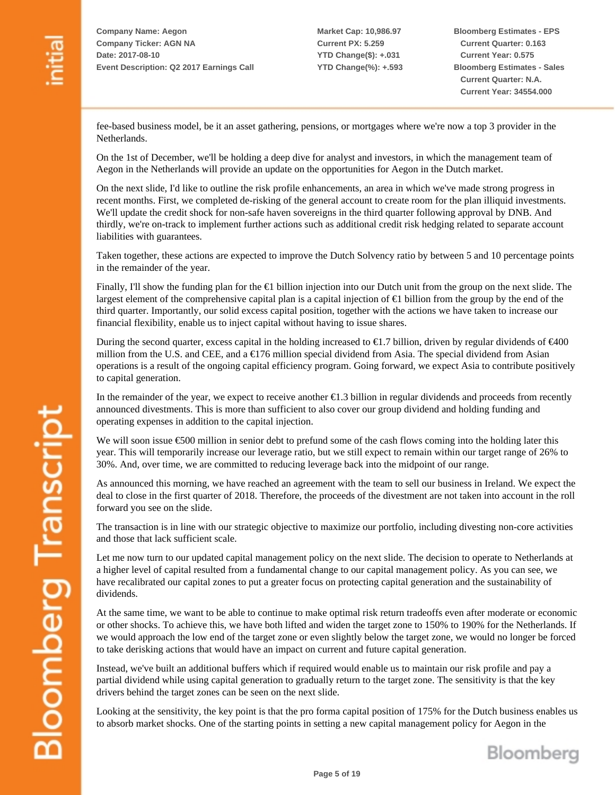**Market Cap: 10,986.97 Current PX: 5.259 YTD Change(\$): +.031 YTD Change(%): +.593** **Bloomberg Estimates - EPS Current Quarter: 0.163 Current Year: 0.575 Bloomberg Estimates - Sales Current Quarter: N.A. Current Year: 34554.000**

fee-based business model, be it an asset gathering, pensions, or mortgages where we're now a top 3 provider in the Netherlands.

On the 1st of December, we'll be holding a deep dive for analyst and investors, in which the management team of Aegon in the Netherlands will provide an update on the opportunities for Aegon in the Dutch market.

On the next slide, I'd like to outline the risk profile enhancements, an area in which we've made strong progress in recent months. First, we completed de-risking of the general account to create room for the plan illiquid investments. We'll update the credit shock for non-safe haven sovereigns in the third quarter following approval by DNB. And thirdly, we're on-track to implement further actions such as additional credit risk hedging related to separate account liabilities with guarantees.

Taken together, these actions are expected to improve the Dutch Solvency ratio by between 5 and 10 percentage points in the remainder of the year.

Finally, I'll show the funding plan for the €1 billion injection into our Dutch unit from the group on the next slide. The largest element of the comprehensive capital plan is a capital injection of €1 billion from the group by the end of the third quarter. Importantly, our solid excess capital position, together with the actions we have taken to increase our financial flexibility, enable us to inject capital without having to issue shares.

During the second quarter, excess capital in the holding increased to  $\epsilon$ 1.7 billion, driven by regular dividends of  $\epsilon$ 400 million from the U.S. and CEE, and a €176 million special dividend from Asia. The special dividend from Asian operations is a result of the ongoing capital efficiency program. Going forward, we expect Asia to contribute positively to capital generation.

In the remainder of the year, we expect to receive another  $E1.3$  billion in regular dividends and proceeds from recently announced divestments. This is more than sufficient to also cover our group dividend and holding funding and operating expenses in addition to the capital injection.

We will soon issue €500 million in senior debt to prefund some of the cash flows coming into the holding later this year. This will temporarily increase our leverage ratio, but we still expect to remain within our target range of 26% to 30%. And, over time, we are committed to reducing leverage back into the midpoint of our range.

As announced this morning, we have reached an agreement with the team to sell our business in Ireland. We expect the deal to close in the first quarter of 2018. Therefore, the proceeds of the divestment are not taken into account in the roll forward you see on the slide.

The transaction is in line with our strategic objective to maximize our portfolio, including divesting non-core activities and those that lack sufficient scale.

Let me now turn to our updated capital management policy on the next slide. The decision to operate to Netherlands at a higher level of capital resulted from a fundamental change to our capital management policy. As you can see, we have recalibrated our capital zones to put a greater focus on protecting capital generation and the sustainability of dividends.

At the same time, we want to be able to continue to make optimal risk return tradeoffs even after moderate or economic or other shocks. To achieve this, we have both lifted and widen the target zone to 150% to 190% for the Netherlands. If we would approach the low end of the target zone or even slightly below the target zone, we would no longer be forced to take derisking actions that would have an impact on current and future capital generation.

Instead, we've built an additional buffers which if required would enable us to maintain our risk profile and pay a partial dividend while using capital generation to gradually return to the target zone. The sensitivity is that the key drivers behind the target zones can be seen on the next slide.

Looking at the sensitivity, the key point is that the pro forma capital position of 175% for the Dutch business enables us to absorb market shocks. One of the starting points in setting a new capital management policy for Aegon in the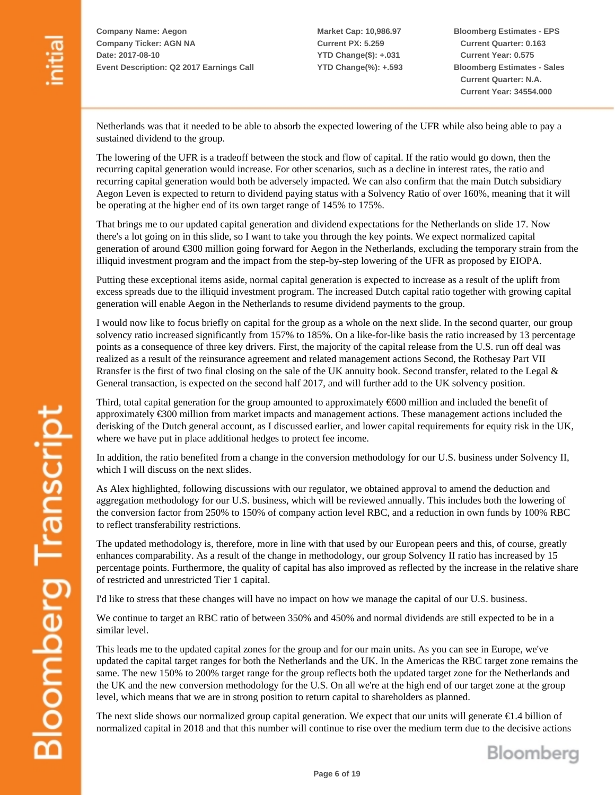**Bloomberg Estimates - EPS Current Quarter: 0.163 Current Year: 0.575 Bloomberg Estimates - Sales Current Quarter: N.A. Current Year: 34554.000**

Netherlands was that it needed to be able to absorb the expected lowering of the UFR while also being able to pay a sustained dividend to the group.

The lowering of the UFR is a tradeoff between the stock and flow of capital. If the ratio would go down, then the recurring capital generation would increase. For other scenarios, such as a decline in interest rates, the ratio and recurring capital generation would both be adversely impacted. We can also confirm that the main Dutch subsidiary Aegon Leven is expected to return to dividend paying status with a Solvency Ratio of over 160%, meaning that it will be operating at the higher end of its own target range of 145% to 175%.

That brings me to our updated capital generation and dividend expectations for the Netherlands on slide 17. Now there's a lot going on in this slide, so I want to take you through the key points. We expect normalized capital generation of around €300 million going forward for Aegon in the Netherlands, excluding the temporary strain from the illiquid investment program and the impact from the step-by-step lowering of the UFR as proposed by EIOPA.

Putting these exceptional items aside, normal capital generation is expected to increase as a result of the uplift from excess spreads due to the illiquid investment program. The increased Dutch capital ratio together with growing capital generation will enable Aegon in the Netherlands to resume dividend payments to the group.

I would now like to focus briefly on capital for the group as a whole on the next slide. In the second quarter, our group solvency ratio increased significantly from 157% to 185%. On a like-for-like basis the ratio increased by 13 percentage points as a consequence of three key drivers. First, the majority of the capital release from the U.S. run off deal was realized as a result of the reinsurance agreement and related management actions Second, the Rothesay Part VII Rransfer is the first of two final closing on the sale of the UK annuity book. Second transfer, related to the Legal  $\&$ General transaction, is expected on the second half 2017, and will further add to the UK solvency position.

Third, total capital generation for the group amounted to approximately €600 million and included the benefit of approximately €300 million from market impacts and management actions. These management actions included the derisking of the Dutch general account, as I discussed earlier, and lower capital requirements for equity risk in the UK, where we have put in place additional hedges to protect fee income.

In addition, the ratio benefited from a change in the conversion methodology for our U.S. business under Solvency II, which I will discuss on the next slides.

As Alex highlighted, following discussions with our regulator, we obtained approval to amend the deduction and aggregation methodology for our U.S. business, which will be reviewed annually. This includes both the lowering of the conversion factor from 250% to 150% of company action level RBC, and a reduction in own funds by 100% RBC to reflect transferability restrictions.

The updated methodology is, therefore, more in line with that used by our European peers and this, of course, greatly enhances comparability. As a result of the change in methodology, our group Solvency II ratio has increased by 15 percentage points. Furthermore, the quality of capital has also improved as reflected by the increase in the relative share of restricted and unrestricted Tier 1 capital.

I'd like to stress that these changes will have no impact on how we manage the capital of our U.S. business.

We continue to target an RBC ratio of between 350% and 450% and normal dividends are still expected to be in a similar level.

This leads me to the updated capital zones for the group and for our main units. As you can see in Europe, we've updated the capital target ranges for both the Netherlands and the UK. In the Americas the RBC target zone remains the same. The new 150% to 200% target range for the group reflects both the updated target zone for the Netherlands and the UK and the new conversion methodology for the U.S. On all we're at the high end of our target zone at the group level, which means that we are in strong position to return capital to shareholders as planned.

The next slide shows our normalized group capital generation. We expect that our units will generate €1.4 billion of normalized capital in 2018 and that this number will continue to rise over the medium term due to the decisive actions

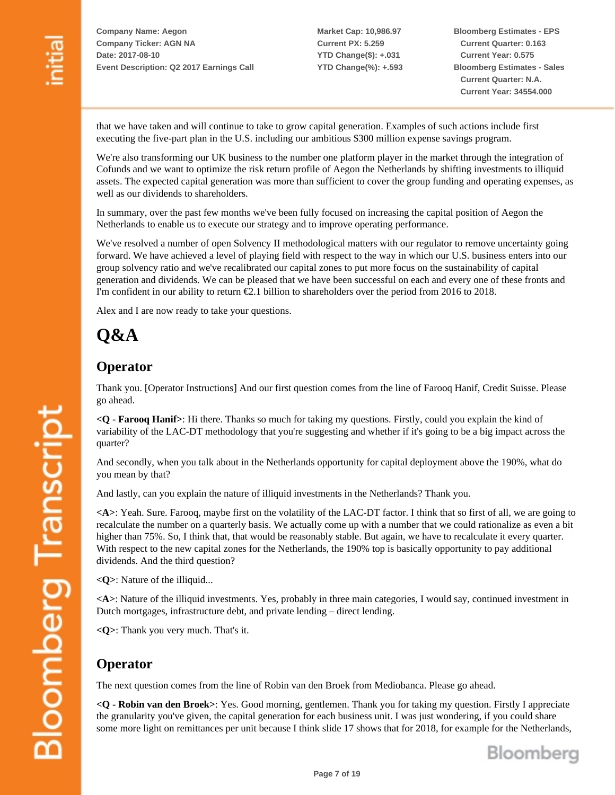**Market Cap: 10,986.97 Current PX: 5.259 YTD Change(\$): +.031 YTD Change(%): +.593** **Bloomberg Estimates - EPS Current Quarter: 0.163 Current Year: 0.575 Bloomberg Estimates - Sales Current Quarter: N.A. Current Year: 34554.000**

that we have taken and will continue to take to grow capital generation. Examples of such actions include first executing the five-part plan in the U.S. including our ambitious \$300 million expense savings program.

We're also transforming our UK business to the number one platform player in the market through the integration of Cofunds and we want to optimize the risk return profile of Aegon the Netherlands by shifting investments to illiquid assets. The expected capital generation was more than sufficient to cover the group funding and operating expenses, as well as our dividends to shareholders.

In summary, over the past few months we've been fully focused on increasing the capital position of Aegon the Netherlands to enable us to execute our strategy and to improve operating performance.

We've resolved a number of open Solvency II methodological matters with our regulator to remove uncertainty going forward. We have achieved a level of playing field with respect to the way in which our U.S. business enters into our group solvency ratio and we've recalibrated our capital zones to put more focus on the sustainability of capital generation and dividends. We can be pleased that we have been successful on each and every one of these fronts and I'm confident in our ability to return €2.1 billion to shareholders over the period from 2016 to 2018.

Alex and I are now ready to take your questions.

# **Q&A**

#### **Operator**

Thank you. [Operator Instructions] And our first question comes from the line of Farooq Hanif, Credit Suisse. Please go ahead.

**<Q - Farooq Hanif>**: Hi there. Thanks so much for taking my questions. Firstly, could you explain the kind of variability of the LAC-DT methodology that you're suggesting and whether if it's going to be a big impact across the quarter?

And secondly, when you talk about in the Netherlands opportunity for capital deployment above the 190%, what do you mean by that?

And lastly, can you explain the nature of illiquid investments in the Netherlands? Thank you.

**<A>**: Yeah. Sure. Farooq, maybe first on the volatility of the LAC-DT factor. I think that so first of all, we are going to recalculate the number on a quarterly basis. We actually come up with a number that we could rationalize as even a bit higher than 75%. So, I think that, that would be reasonably stable. But again, we have to recalculate it every quarter. With respect to the new capital zones for the Netherlands, the 190% top is basically opportunity to pay additional dividends. And the third question?

**<Q>**: Nature of the illiquid...

**<A>**: Nature of the illiquid investments. Yes, probably in three main categories, I would say, continued investment in Dutch mortgages, infrastructure debt, and private lending – direct lending.

**<Q>**: Thank you very much. That's it.

### **Operator**

The next question comes from the line of Robin van den Broek from Mediobanca. Please go ahead.

**<Q - Robin van den Broek>**: Yes. Good morning, gentlemen. Thank you for taking my question. Firstly I appreciate the granularity you've given, the capital generation for each business unit. I was just wondering, if you could share some more light on remittances per unit because I think slide 17 shows that for 2018, for example for the Netherlands,

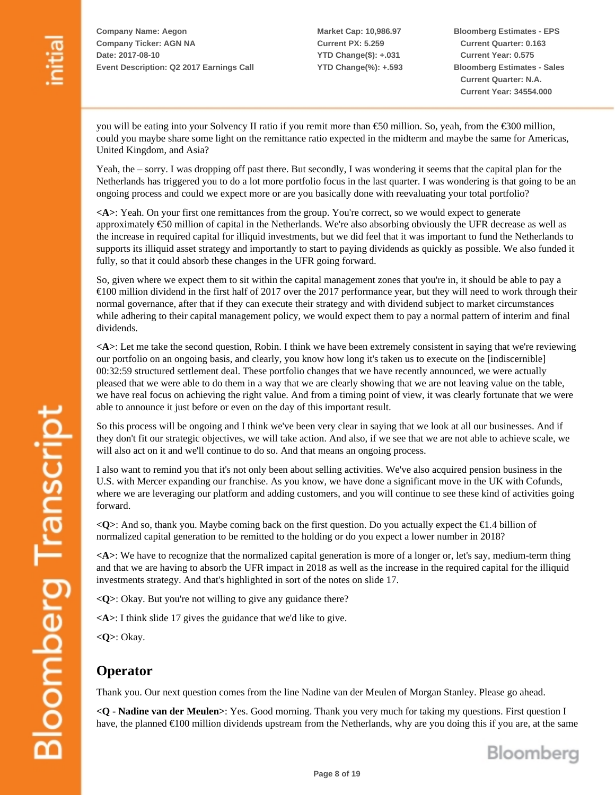**Market Cap: 10,986.97 Current PX: 5.259 YTD Change(\$): +.031 YTD Change(%): +.593** **Bloomberg Estimates - EPS Current Quarter: 0.163 Current Year: 0.575 Bloomberg Estimates - Sales Current Quarter: N.A. Current Year: 34554.000**

you will be eating into your Solvency II ratio if you remit more than €50 million. So, yeah, from the €300 million, could you maybe share some light on the remittance ratio expected in the midterm and maybe the same for Americas, United Kingdom, and Asia?

Yeah, the – sorry. I was dropping off past there. But secondly, I was wondering it seems that the capital plan for the Netherlands has triggered you to do a lot more portfolio focus in the last quarter. I was wondering is that going to be an ongoing process and could we expect more or are you basically done with reevaluating your total portfolio?

**<A>**: Yeah. On your first one remittances from the group. You're correct, so we would expect to generate approximately €50 million of capital in the Netherlands. We're also absorbing obviously the UFR decrease as well as the increase in required capital for illiquid investments, but we did feel that it was important to fund the Netherlands to supports its illiquid asset strategy and importantly to start to paying dividends as quickly as possible. We also funded it fully, so that it could absorb these changes in the UFR going forward.

So, given where we expect them to sit within the capital management zones that you're in, it should be able to pay a €100 million dividend in the first half of 2017 over the 2017 performance year, but they will need to work through their normal governance, after that if they can execute their strategy and with dividend subject to market circumstances while adhering to their capital management policy, we would expect them to pay a normal pattern of interim and final dividends.

**<A>**: Let me take the second question, Robin. I think we have been extremely consistent in saying that we're reviewing our portfolio on an ongoing basis, and clearly, you know how long it's taken us to execute on the [indiscernible] 00:32:59 structured settlement deal. These portfolio changes that we have recently announced, we were actually pleased that we were able to do them in a way that we are clearly showing that we are not leaving value on the table, we have real focus on achieving the right value. And from a timing point of view, it was clearly fortunate that we were able to announce it just before or even on the day of this important result.

So this process will be ongoing and I think we've been very clear in saying that we look at all our businesses. And if they don't fit our strategic objectives, we will take action. And also, if we see that we are not able to achieve scale, we will also act on it and we'll continue to do so. And that means an ongoing process.

I also want to remind you that it's not only been about selling activities. We've also acquired pension business in the U.S. with Mercer expanding our franchise. As you know, we have done a significant move in the UK with Cofunds, where we are leveraging our platform and adding customers, and you will continue to see these kind of activities going forward.

**<Q>**: And so, thank you. Maybe coming back on the first question. Do you actually expect the €1.4 billion of normalized capital generation to be remitted to the holding or do you expect a lower number in 2018?

**<A>**: We have to recognize that the normalized capital generation is more of a longer or, let's say, medium-term thing and that we are having to absorb the UFR impact in 2018 as well as the increase in the required capital for the illiquid investments strategy. And that's highlighted in sort of the notes on slide 17.

**<Q>**: Okay. But you're not willing to give any guidance there?

**<A>**: I think slide 17 gives the guidance that we'd like to give.

**<Q>**: Okay.

### **Operator**

Thank you. Our next question comes from the line Nadine van der Meulen of Morgan Stanley. Please go ahead.

**<Q - Nadine van der Meulen>**: Yes. Good morning. Thank you very much for taking my questions. First question I have, the planned €100 million dividends upstream from the Netherlands, why are you doing this if you are, at the same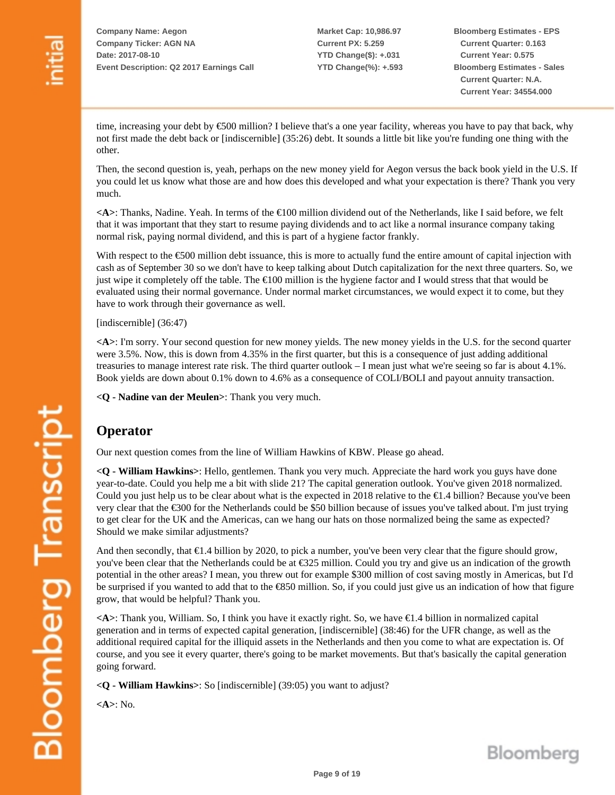**Market Cap: 10,986.97 Current PX: 5.259 YTD Change(\$): +.031 YTD Change(%): +.593** **Bloomberg Estimates - EPS Current Quarter: 0.163 Current Year: 0.575 Bloomberg Estimates - Sales Current Quarter: N.A. Current Year: 34554.000**

time, increasing your debt by €500 million? I believe that's a one year facility, whereas you have to pay that back, why not first made the debt back or [indiscernible] (35:26) debt. It sounds a little bit like you're funding one thing with the other.

Then, the second question is, yeah, perhaps on the new money yield for Aegon versus the back book yield in the U.S. If you could let us know what those are and how does this developed and what your expectation is there? Thank you very much.

**<A>**: Thanks, Nadine. Yeah. In terms of the €100 million dividend out of the Netherlands, like I said before, we felt that it was important that they start to resume paying dividends and to act like a normal insurance company taking normal risk, paying normal dividend, and this is part of a hygiene factor frankly.

With respect to the  $\epsilon$ 500 million debt issuance, this is more to actually fund the entire amount of capital injection with cash as of September 30 so we don't have to keep talking about Dutch capitalization for the next three quarters. So, we just wipe it completely off the table. The €100 million is the hygiene factor and I would stress that that would be evaluated using their normal governance. Under normal market circumstances, we would expect it to come, but they have to work through their governance as well.

[indiscernible] (36:47)

**<A>**: I'm sorry. Your second question for new money yields. The new money yields in the U.S. for the second quarter were 3.5%. Now, this is down from 4.35% in the first quarter, but this is a consequence of just adding additional treasuries to manage interest rate risk. The third quarter outlook – I mean just what we're seeing so far is about 4.1%. Book yields are down about 0.1% down to 4.6% as a consequence of COLI/BOLI and payout annuity transaction.

**<Q - Nadine van der Meulen>**: Thank you very much.

#### **Operator**

Our next question comes from the line of William Hawkins of KBW. Please go ahead.

**<Q - William Hawkins>**: Hello, gentlemen. Thank you very much. Appreciate the hard work you guys have done year-to-date. Could you help me a bit with slide 21? The capital generation outlook. You've given 2018 normalized. Could you just help us to be clear about what is the expected in 2018 relative to the  $\epsilon$ 1.4 billion? Because you've been very clear that the €300 for the Netherlands could be \$50 billion because of issues you've talked about. I'm just trying to get clear for the UK and the Americas, can we hang our hats on those normalized being the same as expected? Should we make similar adjustments?

And then secondly, that  $\epsilon$ 1.4 billion by 2020, to pick a number, you've been very clear that the figure should grow, you've been clear that the Netherlands could be at €325 million. Could you try and give us an indication of the growth potential in the other areas? I mean, you threw out for example \$300 million of cost saving mostly in Americas, but I'd be surprised if you wanted to add that to the €850 million. So, if you could just give us an indication of how that figure grow, that would be helpful? Thank you.

**<A>**: Thank you, William. So, I think you have it exactly right. So, we have €1.4 billion in normalized capital generation and in terms of expected capital generation, [indiscernible] (38:46) for the UFR change, as well as the additional required capital for the illiquid assets in the Netherlands and then you come to what are expectation is. Of course, and you see it every quarter, there's going to be market movements. But that's basically the capital generation going forward.

**<Q - William Hawkins>**: So [indiscernible] (39:05) you want to adjust?

**<A>**: No.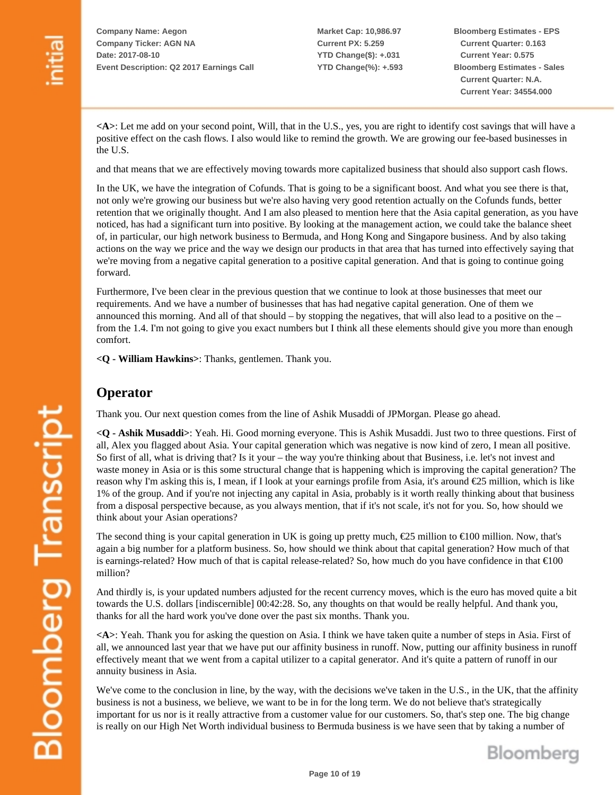**Market Cap: 10,986.97 Current PX: 5.259 YTD Change(\$): +.031 YTD Change(%): +.593** **Bloomberg Estimates - EPS Current Quarter: 0.163 Current Year: 0.575 Bloomberg Estimates - Sales Current Quarter: N.A. Current Year: 34554.000**

**<A>**: Let me add on your second point, Will, that in the U.S., yes, you are right to identify cost savings that will have a positive effect on the cash flows. I also would like to remind the growth. We are growing our fee-based businesses in the U.S.

and that means that we are effectively moving towards more capitalized business that should also support cash flows.

In the UK, we have the integration of Cofunds. That is going to be a significant boost. And what you see there is that, not only we're growing our business but we're also having very good retention actually on the Cofunds funds, better retention that we originally thought. And I am also pleased to mention here that the Asia capital generation, as you have noticed, has had a significant turn into positive. By looking at the management action, we could take the balance sheet of, in particular, our high network business to Bermuda, and Hong Kong and Singapore business. And by also taking actions on the way we price and the way we design our products in that area that has turned into effectively saying that we're moving from a negative capital generation to a positive capital generation. And that is going to continue going forward.

Furthermore, I've been clear in the previous question that we continue to look at those businesses that meet our requirements. And we have a number of businesses that has had negative capital generation. One of them we announced this morning. And all of that should – by stopping the negatives, that will also lead to a positive on the – from the 1.4. I'm not going to give you exact numbers but I think all these elements should give you more than enough comfort.

**<Q - William Hawkins>**: Thanks, gentlemen. Thank you.

#### **Operator**

Thank you. Our next question comes from the line of Ashik Musaddi of JPMorgan. Please go ahead.

**<Q - Ashik Musaddi>**: Yeah. Hi. Good morning everyone. This is Ashik Musaddi. Just two to three questions. First of all, Alex you flagged about Asia. Your capital generation which was negative is now kind of zero, I mean all positive. So first of all, what is driving that? Is it your – the way you're thinking about that Business, i.e. let's not invest and waste money in Asia or is this some structural change that is happening which is improving the capital generation? The reason why I'm asking this is, I mean, if I look at your earnings profile from Asia, it's around €25 million, which is like 1% of the group. And if you're not injecting any capital in Asia, probably is it worth really thinking about that business from a disposal perspective because, as you always mention, that if it's not scale, it's not for you. So, how should we think about your Asian operations?

The second thing is your capital generation in UK is going up pretty much,  $\epsilon$ 25 million to  $\epsilon$ 100 million. Now, that's again a big number for a platform business. So, how should we think about that capital generation? How much of that is earnings-related? How much of that is capital release-related? So, how much do you have confidence in that €100 million?

And thirdly is, is your updated numbers adjusted for the recent currency moves, which is the euro has moved quite a bit towards the U.S. dollars [indiscernible] 00:42:28. So, any thoughts on that would be really helpful. And thank you, thanks for all the hard work you've done over the past six months. Thank you.

**<A>**: Yeah. Thank you for asking the question on Asia. I think we have taken quite a number of steps in Asia. First of all, we announced last year that we have put our affinity business in runoff. Now, putting our affinity business in runoff effectively meant that we went from a capital utilizer to a capital generator. And it's quite a pattern of runoff in our annuity business in Asia.

We've come to the conclusion in line, by the way, with the decisions we've taken in the U.S., in the UK, that the affinity business is not a business, we believe, we want to be in for the long term. We do not believe that's strategically important for us nor is it really attractive from a customer value for our customers. So, that's step one. The big change is really on our High Net Worth individual business to Bermuda business is we have seen that by taking a number of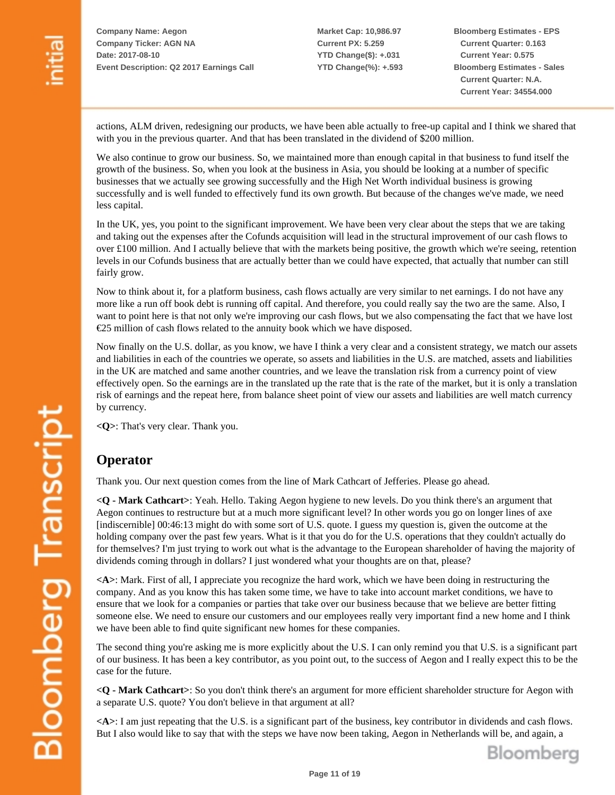**Market Cap: 10,986.97 Current PX: 5.259 YTD Change(\$): +.031 YTD Change(%): +.593** **Bloomberg Estimates - EPS Current Quarter: 0.163 Current Year: 0.575 Bloomberg Estimates - Sales Current Quarter: N.A. Current Year: 34554.000**

actions, ALM driven, redesigning our products, we have been able actually to free-up capital and I think we shared that with you in the previous quarter. And that has been translated in the dividend of \$200 million.

We also continue to grow our business. So, we maintained more than enough capital in that business to fund itself the growth of the business. So, when you look at the business in Asia, you should be looking at a number of specific businesses that we actually see growing successfully and the High Net Worth individual business is growing successfully and is well funded to effectively fund its own growth. But because of the changes we've made, we need less capital.

In the UK, yes, you point to the significant improvement. We have been very clear about the steps that we are taking and taking out the expenses after the Cofunds acquisition will lead in the structural improvement of our cash flows to over £100 million. And I actually believe that with the markets being positive, the growth which we're seeing, retention levels in our Cofunds business that are actually better than we could have expected, that actually that number can still fairly grow.

Now to think about it, for a platform business, cash flows actually are very similar to net earnings. I do not have any more like a run off book debt is running off capital. And therefore, you could really say the two are the same. Also, I want to point here is that not only we're improving our cash flows, but we also compensating the fact that we have lost €25 million of cash flows related to the annuity book which we have disposed.

Now finally on the U.S. dollar, as you know, we have I think a very clear and a consistent strategy, we match our assets and liabilities in each of the countries we operate, so assets and liabilities in the U.S. are matched, assets and liabilities in the UK are matched and same another countries, and we leave the translation risk from a currency point of view effectively open. So the earnings are in the translated up the rate that is the rate of the market, but it is only a translation risk of earnings and the repeat here, from balance sheet point of view our assets and liabilities are well match currency by currency.

**<Q>**: That's very clear. Thank you.

## **Operator**

Thank you. Our next question comes from the line of Mark Cathcart of Jefferies. Please go ahead.

**<Q - Mark Cathcart>**: Yeah. Hello. Taking Aegon hygiene to new levels. Do you think there's an argument that Aegon continues to restructure but at a much more significant level? In other words you go on longer lines of axe [indiscernible] 00:46:13 might do with some sort of U.S. quote. I guess my question is, given the outcome at the holding company over the past few years. What is it that you do for the U.S. operations that they couldn't actually do for themselves? I'm just trying to work out what is the advantage to the European shareholder of having the majority of dividends coming through in dollars? I just wondered what your thoughts are on that, please?

**<A>**: Mark. First of all, I appreciate you recognize the hard work, which we have been doing in restructuring the company. And as you know this has taken some time, we have to take into account market conditions, we have to ensure that we look for a companies or parties that take over our business because that we believe are better fitting someone else. We need to ensure our customers and our employees really very important find a new home and I think we have been able to find quite significant new homes for these companies.

The second thing you're asking me is more explicitly about the U.S. I can only remind you that U.S. is a significant part of our business. It has been a key contributor, as you point out, to the success of Aegon and I really expect this to be the case for the future.

**<Q - Mark Cathcart>**: So you don't think there's an argument for more efficient shareholder structure for Aegon with a separate U.S. quote? You don't believe in that argument at all?

**<A>**: I am just repeating that the U.S. is a significant part of the business, key contributor in dividends and cash flows. But I also would like to say that with the steps we have now been taking, Aegon in Netherlands will be, and again, a

Bloomberg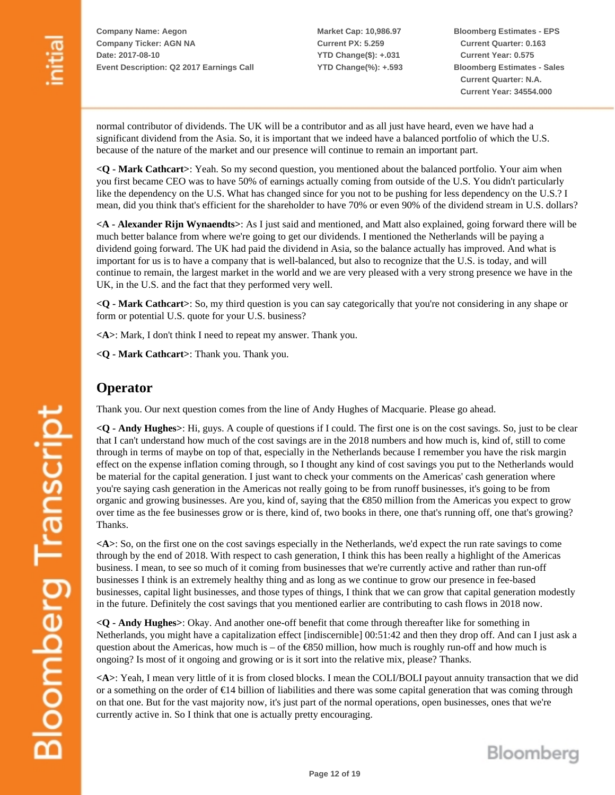**Market Cap: 10,986.97 Current PX: 5.259 YTD Change(\$): +.031 YTD Change(%): +.593** **Bloomberg Estimates - EPS Current Quarter: 0.163 Current Year: 0.575 Bloomberg Estimates - Sales Current Quarter: N.A. Current Year: 34554.000**

normal contributor of dividends. The UK will be a contributor and as all just have heard, even we have had a significant dividend from the Asia. So, it is important that we indeed have a balanced portfolio of which the U.S. because of the nature of the market and our presence will continue to remain an important part.

**<Q - Mark Cathcart>**: Yeah. So my second question, you mentioned about the balanced portfolio. Your aim when you first became CEO was to have 50% of earnings actually coming from outside of the U.S. You didn't particularly like the dependency on the U.S. What has changed since for you not to be pushing for less dependency on the U.S.? I mean, did you think that's efficient for the shareholder to have 70% or even 90% of the dividend stream in U.S. dollars?

**<A - Alexander Rijn Wynaendts>**: As I just said and mentioned, and Matt also explained, going forward there will be much better balance from where we're going to get our dividends. I mentioned the Netherlands will be paying a dividend going forward. The UK had paid the dividend in Asia, so the balance actually has improved. And what is important for us is to have a company that is well-balanced, but also to recognize that the U.S. is today, and will continue to remain, the largest market in the world and we are very pleased with a very strong presence we have in the UK, in the U.S. and the fact that they performed very well.

**<Q - Mark Cathcart>**: So, my third question is you can say categorically that you're not considering in any shape or form or potential U.S. quote for your U.S. business?

**<A>**: Mark, I don't think I need to repeat my answer. Thank you.

**<Q - Mark Cathcart>**: Thank you. Thank you.

#### **Operator**

Thank you. Our next question comes from the line of Andy Hughes of Macquarie. Please go ahead.

**<Q - Andy Hughes>**: Hi, guys. A couple of questions if I could. The first one is on the cost savings. So, just to be clear that I can't understand how much of the cost savings are in the 2018 numbers and how much is, kind of, still to come through in terms of maybe on top of that, especially in the Netherlands because I remember you have the risk margin effect on the expense inflation coming through, so I thought any kind of cost savings you put to the Netherlands would be material for the capital generation. I just want to check your comments on the Americas' cash generation where you're saying cash generation in the Americas not really going to be from runoff businesses, it's going to be from organic and growing businesses. Are you, kind of, saying that the €850 million from the Americas you expect to grow over time as the fee businesses grow or is there, kind of, two books in there, one that's running off, one that's growing? Thanks.

**<A>**: So, on the first one on the cost savings especially in the Netherlands, we'd expect the run rate savings to come through by the end of 2018. With respect to cash generation, I think this has been really a highlight of the Americas business. I mean, to see so much of it coming from businesses that we're currently active and rather than run-off businesses I think is an extremely healthy thing and as long as we continue to grow our presence in fee-based businesses, capital light businesses, and those types of things, I think that we can grow that capital generation modestly in the future. Definitely the cost savings that you mentioned earlier are contributing to cash flows in 2018 now.

**<Q - Andy Hughes>**: Okay. And another one-off benefit that come through thereafter like for something in Netherlands, you might have a capitalization effect [indiscernible] 00:51:42 and then they drop off. And can I just ask a question about the Americas, how much is – of the  $\epsilon$ 850 million, how much is roughly run-off and how much is ongoing? Is most of it ongoing and growing or is it sort into the relative mix, please? Thanks.

**<A>**: Yeah, I mean very little of it is from closed blocks. I mean the COLI/BOLI payout annuity transaction that we did or a something on the order of €14 billion of liabilities and there was some capital generation that was coming through on that one. But for the vast majority now, it's just part of the normal operations, open businesses, ones that we're currently active in. So I think that one is actually pretty encouraging.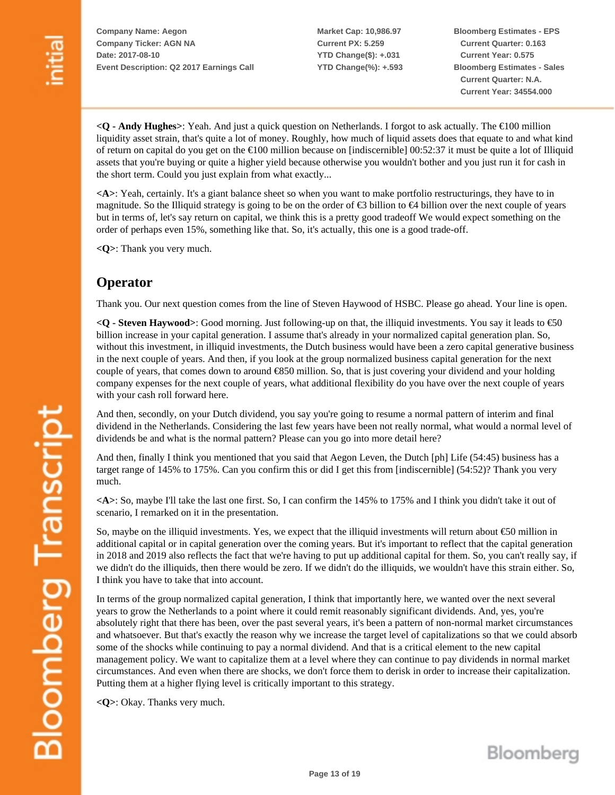**Market Cap: 10,986.97 Current PX: 5.259 YTD Change(\$): +.031 YTD Change(%): +.593** **Bloomberg Estimates - EPS Current Quarter: 0.163 Current Year: 0.575 Bloomberg Estimates - Sales Current Quarter: N.A. Current Year: 34554.000**

**<Q - Andy Hughes>**: Yeah. And just a quick question on Netherlands. I forgot to ask actually. The €100 million liquidity asset strain, that's quite a lot of money. Roughly, how much of liquid assets does that equate to and what kind of return on capital do you get on the  $\epsilon$ 100 million because on [indiscernible] 00:52:37 it must be quite a lot of Illiquid assets that you're buying or quite a higher yield because otherwise you wouldn't bother and you just run it for cash in the short term. Could you just explain from what exactly...

**<A>**: Yeah, certainly. It's a giant balance sheet so when you want to make portfolio restructurings, they have to in magnitude. So the Illiquid strategy is going to be on the order of  $\epsilon$ 3 billion to  $\epsilon$ 4 billion over the next couple of years but in terms of, let's say return on capital, we think this is a pretty good tradeoff We would expect something on the order of perhaps even 15%, something like that. So, it's actually, this one is a good trade-off.

**<Q>**: Thank you very much.

### **Operator**

Thank you. Our next question comes from the line of Steven Haywood of HSBC. Please go ahead. Your line is open.

**<Q - Steven Haywood>**: Good morning. Just following-up on that, the illiquid investments. You say it leads to €50 billion increase in your capital generation. I assume that's already in your normalized capital generation plan. So, without this investment, in illiquid investments, the Dutch business would have been a zero capital generative business in the next couple of years. And then, if you look at the group normalized business capital generation for the next couple of years, that comes down to around €850 million. So, that is just covering your dividend and your holding company expenses for the next couple of years, what additional flexibility do you have over the next couple of years with your cash roll forward here.

And then, secondly, on your Dutch dividend, you say you're going to resume a normal pattern of interim and final dividend in the Netherlands. Considering the last few years have been not really normal, what would a normal level of dividends be and what is the normal pattern? Please can you go into more detail here?

And then, finally I think you mentioned that you said that Aegon Leven, the Dutch [ph] Life (54:45) business has a target range of 145% to 175%. Can you confirm this or did I get this from [indiscernible] (54:52)? Thank you very much.

**<A>**: So, maybe I'll take the last one first. So, I can confirm the 145% to 175% and I think you didn't take it out of scenario, I remarked on it in the presentation.

So, maybe on the illiquid investments. Yes, we expect that the illiquid investments will return about €50 million in additional capital or in capital generation over the coming years. But it's important to reflect that the capital generation in 2018 and 2019 also reflects the fact that we're having to put up additional capital for them. So, you can't really say, if we didn't do the illiquids, then there would be zero. If we didn't do the illiquids, we wouldn't have this strain either. So, I think you have to take that into account.

In terms of the group normalized capital generation, I think that importantly here, we wanted over the next several years to grow the Netherlands to a point where it could remit reasonably significant dividends. And, yes, you're absolutely right that there has been, over the past several years, it's been a pattern of non-normal market circumstances and whatsoever. But that's exactly the reason why we increase the target level of capitalizations so that we could absorb some of the shocks while continuing to pay a normal dividend. And that is a critical element to the new capital management policy. We want to capitalize them at a level where they can continue to pay dividends in normal market circumstances. And even when there are shocks, we don't force them to derisk in order to increase their capitalization. Putting them at a higher flying level is critically important to this strategy.

**<Q>**: Okay. Thanks very much.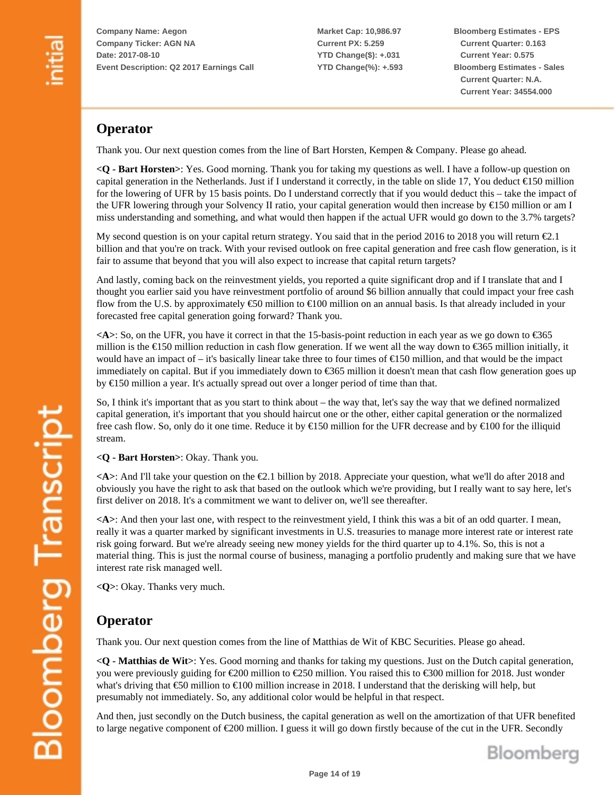**Market Cap: 10,986.97 Current PX: 5.259 YTD Change(\$): +.031 YTD Change(%): +.593** **Bloomberg Estimates - EPS Current Quarter: 0.163 Current Year: 0.575 Bloomberg Estimates - Sales Current Quarter: N.A. Current Year: 34554.000**

## **Operator**

Thank you. Our next question comes from the line of Bart Horsten, Kempen & Company. Please go ahead.

**<Q - Bart Horsten>**: Yes. Good morning. Thank you for taking my questions as well. I have a follow-up question on capital generation in the Netherlands. Just if I understand it correctly, in the table on slide 17, You deduct  $\epsilon$ 150 million for the lowering of UFR by 15 basis points. Do I understand correctly that if you would deduct this – take the impact of the UFR lowering through your Solvency II ratio, your capital generation would then increase by  $\epsilon$ 150 million or am I miss understanding and something, and what would then happen if the actual UFR would go down to the 3.7% targets?

My second question is on your capital return strategy. You said that in the period 2016 to 2018 you will return €2.1 billion and that you're on track. With your revised outlook on free capital generation and free cash flow generation, is it fair to assume that beyond that you will also expect to increase that capital return targets?

And lastly, coming back on the reinvestment yields, you reported a quite significant drop and if I translate that and I thought you earlier said you have reinvestment portfolio of around \$6 billion annually that could impact your free cash flow from the U.S. by approximately  $\epsilon$ 50 million to  $\epsilon$ 100 million on an annual basis. Is that already included in your forecasted free capital generation going forward? Thank you.

 $\leq$ A $>$ : So, on the UFR, you have it correct in that the 15-basis-point reduction in each year as we go down to  $\leq$ 365 million is the  $\epsilon$ 150 million reduction in cash flow generation. If we went all the way down to  $\epsilon$ 365 million initially, it would have an impact of – it's basically linear take three to four times of  $\epsilon$ 150 million, and that would be the impact immediately on capital. But if you immediately down to €365 million it doesn't mean that cash flow generation goes up by  $E$ 150 million a year. It's actually spread out over a longer period of time than that.

So, I think it's important that as you start to think about – the way that, let's say the way that we defined normalized capital generation, it's important that you should haircut one or the other, either capital generation or the normalized free cash flow. So, only do it one time. Reduce it by €150 million for the UFR decrease and by €100 for the illiquid stream.

**<Q - Bart Horsten>**: Okay. Thank you.

 $\leq$ A $>$ : And I'll take your question on the  $\in$ 2.1 billion by 2018. Appreciate your question, what we'll do after 2018 and obviously you have the right to ask that based on the outlook which we're providing, but I really want to say here, let's first deliver on 2018. It's a commitment we want to deliver on, we'll see thereafter.

**<A>**: And then your last one, with respect to the reinvestment yield, I think this was a bit of an odd quarter. I mean, really it was a quarter marked by significant investments in U.S. treasuries to manage more interest rate or interest rate risk going forward. But we're already seeing new money yields for the third quarter up to 4.1%. So, this is not a material thing. This is just the normal course of business, managing a portfolio prudently and making sure that we have interest rate risk managed well.

**<Q>**: Okay. Thanks very much.

#### **Operator**

Thank you. Our next question comes from the line of Matthias de Wit of KBC Securities. Please go ahead.

**<Q - Matthias de Wit>**: Yes. Good morning and thanks for taking my questions. Just on the Dutch capital generation, you were previously guiding for €200 million to €250 million. You raised this to €300 million for 2018. Just wonder what's driving that €50 million to €100 million increase in 2018. I understand that the derisking will help, but presumably not immediately. So, any additional color would be helpful in that respect.

And then, just secondly on the Dutch business, the capital generation as well on the amortization of that UFR benefited to large negative component of €200 million. I guess it will go down firstly because of the cut in the UFR. Secondly

Bloomberg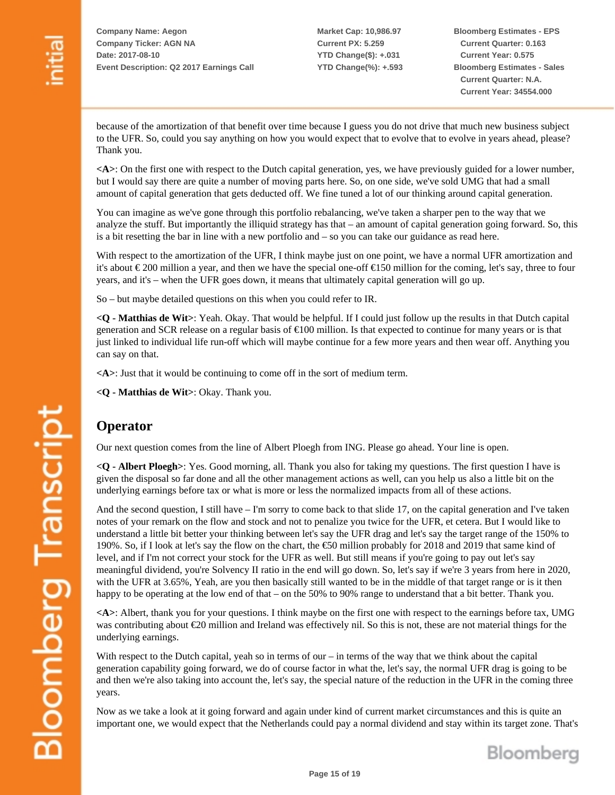**Market Cap: 10,986.97 Current PX: 5.259 YTD Change(\$): +.031 YTD Change(%): +.593** **Bloomberg Estimates - EPS Current Quarter: 0.163 Current Year: 0.575 Bloomberg Estimates - Sales Current Quarter: N.A. Current Year: 34554.000**

because of the amortization of that benefit over time because I guess you do not drive that much new business subject to the UFR. So, could you say anything on how you would expect that to evolve that to evolve in years ahead, please? Thank you.

**<A>**: On the first one with respect to the Dutch capital generation, yes, we have previously guided for a lower number, but I would say there are quite a number of moving parts here. So, on one side, we've sold UMG that had a small amount of capital generation that gets deducted off. We fine tuned a lot of our thinking around capital generation.

You can imagine as we've gone through this portfolio rebalancing, we've taken a sharper pen to the way that we analyze the stuff. But importantly the illiquid strategy has that – an amount of capital generation going forward. So, this is a bit resetting the bar in line with a new portfolio and – so you can take our guidance as read here.

With respect to the amortization of the UFR, I think maybe just on one point, we have a normal UFR amortization and it's about € 200 million a year, and then we have the special one-off €150 million for the coming, let's say, three to four years, and it's – when the UFR goes down, it means that ultimately capital generation will go up.

So – but maybe detailed questions on this when you could refer to IR.

**<Q - Matthias de Wit>**: Yeah. Okay. That would be helpful. If I could just follow up the results in that Dutch capital generation and SCR release on a regular basis of €100 million. Is that expected to continue for many years or is that just linked to individual life run-off which will maybe continue for a few more years and then wear off. Anything you can say on that.

**<A>**: Just that it would be continuing to come off in the sort of medium term.

**<Q - Matthias de Wit>**: Okay. Thank you.

## **Operator**

Our next question comes from the line of Albert Ploegh from ING. Please go ahead. Your line is open.

**<Q - Albert Ploegh>**: Yes. Good morning, all. Thank you also for taking my questions. The first question I have is given the disposal so far done and all the other management actions as well, can you help us also a little bit on the underlying earnings before tax or what is more or less the normalized impacts from all of these actions.

And the second question, I still have – I'm sorry to come back to that slide 17, on the capital generation and I've taken notes of your remark on the flow and stock and not to penalize you twice for the UFR, et cetera. But I would like to understand a little bit better your thinking between let's say the UFR drag and let's say the target range of the 150% to 190%. So, if I look at let's say the flow on the chart, the €50 million probably for 2018 and 2019 that same kind of level, and if I'm not correct your stock for the UFR as well. But still means if you're going to pay out let's say meaningful dividend, you're Solvency II ratio in the end will go down. So, let's say if we're 3 years from here in 2020, with the UFR at 3.65%, Yeah, are you then basically still wanted to be in the middle of that target range or is it then happy to be operating at the low end of that – on the 50% to 90% range to understand that a bit better. Thank you.

**<A>**: Albert, thank you for your questions. I think maybe on the first one with respect to the earnings before tax, UMG was contributing about €20 million and Ireland was effectively nil. So this is not, these are not material things for the underlying earnings.

With respect to the Dutch capital, yeah so in terms of our – in terms of the way that we think about the capital generation capability going forward, we do of course factor in what the, let's say, the normal UFR drag is going to be and then we're also taking into account the, let's say, the special nature of the reduction in the UFR in the coming three years.

Now as we take a look at it going forward and again under kind of current market circumstances and this is quite an important one, we would expect that the Netherlands could pay a normal dividend and stay within its target zone. That's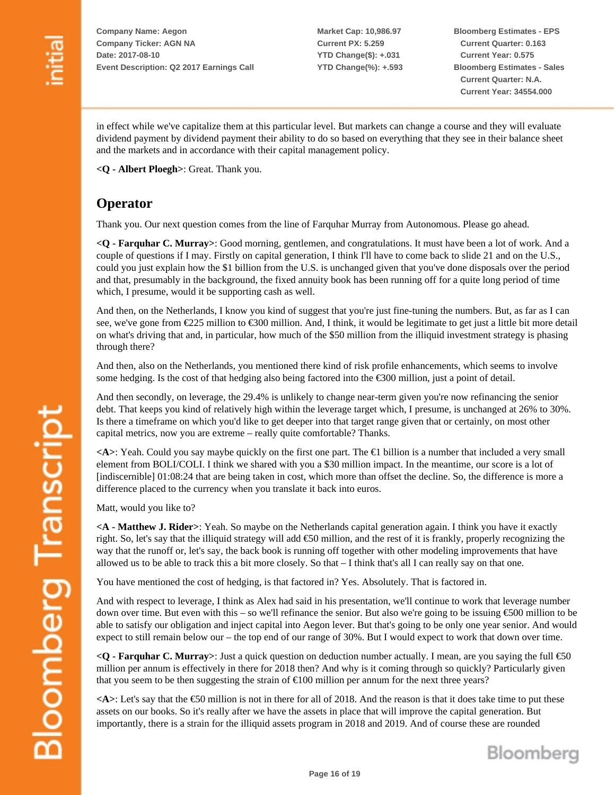**Market Cap: 10,986.97 Current PX: 5.259 YTD Change(\$): +.031 YTD Change(%): +.593** **Bloomberg Estimates - EPS Current Quarter: 0.163 Current Year: 0.575 Bloomberg Estimates - Sales Current Quarter: N.A. Current Year: 34554.000**

in effect while we've capitalize them at this particular level. But markets can change a course and they will evaluate dividend payment by dividend payment their ability to do so based on everything that they see in their balance sheet and the markets and in accordance with their capital management policy.

**<Q - Albert Ploegh>**: Great. Thank you.

## **Operator**

Thank you. Our next question comes from the line of Farquhar Murray from Autonomous. Please go ahead.

**<Q - Farquhar C. Murray>**: Good morning, gentlemen, and congratulations. It must have been a lot of work. And a couple of questions if I may. Firstly on capital generation, I think I'll have to come back to slide 21 and on the U.S., could you just explain how the \$1 billion from the U.S. is unchanged given that you've done disposals over the period and that, presumably in the background, the fixed annuity book has been running off for a quite long period of time which, I presume, would it be supporting cash as well.

And then, on the Netherlands, I know you kind of suggest that you're just fine-tuning the numbers. But, as far as I can see, we've gone from €225 million to €300 million. And, I think, it would be legitimate to get just a little bit more detail on what's driving that and, in particular, how much of the \$50 million from the illiquid investment strategy is phasing through there?

And then, also on the Netherlands, you mentioned there kind of risk profile enhancements, which seems to involve some hedging. Is the cost of that hedging also being factored into the €300 million, just a point of detail.

And then secondly, on leverage, the 29.4% is unlikely to change near-term given you're now refinancing the senior debt. That keeps you kind of relatively high within the leverage target which, I presume, is unchanged at 26% to 30%. Is there a timeframe on which you'd like to get deeper into that target range given that or certainly, on most other capital metrics, now you are extreme – really quite comfortable? Thanks.

**<A>**: Yeah. Could you say maybe quickly on the first one part. The €1 billion is a number that included a very small element from BOLI/COLI. I think we shared with you a \$30 million impact. In the meantime, our score is a lot of [indiscernible] 01:08:24 that are being taken in cost, which more than offset the decline. So, the difference is more a difference placed to the currency when you translate it back into euros.

Matt, would you like to?

**<A - Matthew J. Rider>**: Yeah. So maybe on the Netherlands capital generation again. I think you have it exactly right. So, let's say that the illiquid strategy will add €50 million, and the rest of it is frankly, properly recognizing the way that the runoff or, let's say, the back book is running off together with other modeling improvements that have allowed us to be able to track this a bit more closely. So that – I think that's all I can really say on that one.

You have mentioned the cost of hedging, is that factored in? Yes. Absolutely. That is factored in.

And with respect to leverage, I think as Alex had said in his presentation, we'll continue to work that leverage number down over time. But even with this – so we'll refinance the senior. But also we're going to be issuing  $\epsilon$ 500 million to be able to satisfy our obligation and inject capital into Aegon lever. But that's going to be only one year senior. And would expect to still remain below our – the top end of our range of 30%. But I would expect to work that down over time.

**<Q - Farquhar C. Murray>**: Just a quick question on deduction number actually. I mean, are you saying the full €50 million per annum is effectively in there for 2018 then? And why is it coming through so quickly? Particularly given that you seem to be then suggesting the strain of  $\epsilon$ 100 million per annum for the next three years?

 $\leq$ A $\geq$ : Let's say that the  $\leq$ 50 million is not in there for all of 2018. And the reason is that it does take time to put these assets on our books. So it's really after we have the assets in place that will improve the capital generation. But importantly, there is a strain for the illiquid assets program in 2018 and 2019. And of course these are rounded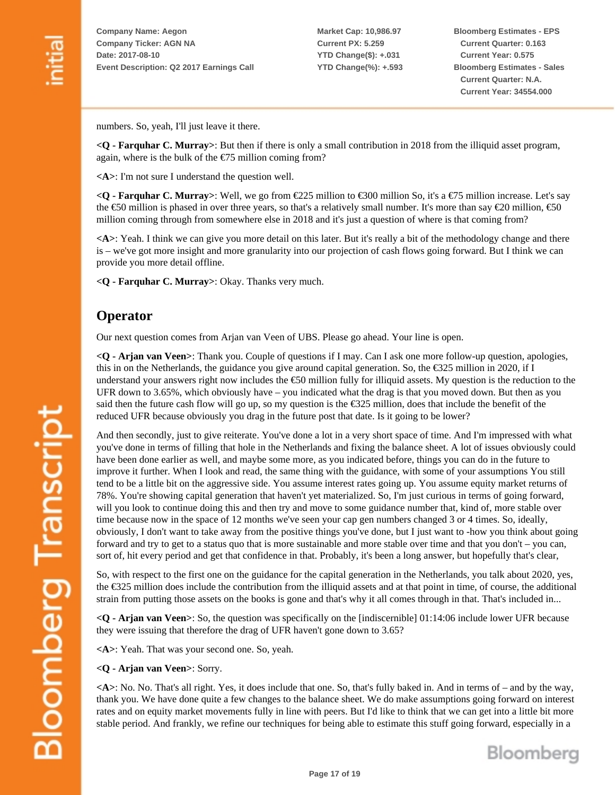**Market Cap: 10,986.97 Current PX: 5.259 YTD Change(\$): +.031 YTD Change(%): +.593** **Bloomberg Estimates - EPS Current Quarter: 0.163 Current Year: 0.575 Bloomberg Estimates - Sales Current Quarter: N.A. Current Year: 34554.000**

numbers. So, yeah, I'll just leave it there.

**<Q - Farquhar C. Murray>**: But then if there is only a small contribution in 2018 from the illiquid asset program, again, where is the bulk of the  $E$ 75 million coming from?

**<A>**: I'm not sure I understand the question well.

**<Q - Farquhar C. Murray>**: Well, we go from €225 million to €300 million So, it's a €75 million increase. Let's say the €50 million is phased in over three years, so that's a relatively small number. It's more than say €20 million, €50 million coming through from somewhere else in 2018 and it's just a question of where is that coming from?

**<A>**: Yeah. I think we can give you more detail on this later. But it's really a bit of the methodology change and there is – we've got more insight and more granularity into our projection of cash flows going forward. But I think we can provide you more detail offline.

**<Q - Farquhar C. Murray>**: Okay. Thanks very much.

#### **Operator**

Our next question comes from Arjan van Veen of UBS. Please go ahead. Your line is open.

**<Q - Arjan van Veen>**: Thank you. Couple of questions if I may. Can I ask one more follow-up question, apologies, this in on the Netherlands, the guidance you give around capital generation. So, the €325 million in 2020, if I understand your answers right now includes the  $\epsilon$ 50 million fully for illiquid assets. My question is the reduction to the UFR down to 3.65%, which obviously have – you indicated what the drag is that you moved down. But then as you said then the future cash flow will go up, so my question is the  $\epsilon$ 325 million, does that include the benefit of the reduced UFR because obviously you drag in the future post that date. Is it going to be lower?

And then secondly, just to give reiterate. You've done a lot in a very short space of time. And I'm impressed with what you've done in terms of filling that hole in the Netherlands and fixing the balance sheet. A lot of issues obviously could have been done earlier as well, and maybe some more, as you indicated before, things you can do in the future to improve it further. When I look and read, the same thing with the guidance, with some of your assumptions You still tend to be a little bit on the aggressive side. You assume interest rates going up. You assume equity market returns of 78%. You're showing capital generation that haven't yet materialized. So, I'm just curious in terms of going forward, will you look to continue doing this and then try and move to some guidance number that, kind of, more stable over time because now in the space of 12 months we've seen your cap gen numbers changed 3 or 4 times. So, ideally, obviously, I don't want to take away from the positive things you've done, but I just want to -how you think about going forward and try to get to a status quo that is more sustainable and more stable over time and that you don't – you can, sort of, hit every period and get that confidence in that. Probably, it's been a long answer, but hopefully that's clear,

So, with respect to the first one on the guidance for the capital generation in the Netherlands, you talk about 2020, yes, the €325 million does include the contribution from the illiquid assets and at that point in time, of course, the additional strain from putting those assets on the books is gone and that's why it all comes through in that. That's included in...

**<Q - Arjan van Veen>**: So, the question was specifically on the [indiscernible] 01:14:06 include lower UFR because they were issuing that therefore the drag of UFR haven't gone down to 3.65?

**<A>**: Yeah. That was your second one. So, yeah.

#### **<Q - Arjan van Veen>**: Sorry.

**<A>**: No. No. That's all right. Yes, it does include that one. So, that's fully baked in. And in terms of – and by the way, thank you. We have done quite a few changes to the balance sheet. We do make assumptions going forward on interest rates and on equity market movements fully in line with peers. But I'd like to think that we can get into a little bit more stable period. And frankly, we refine our techniques for being able to estimate this stuff going forward, especially in a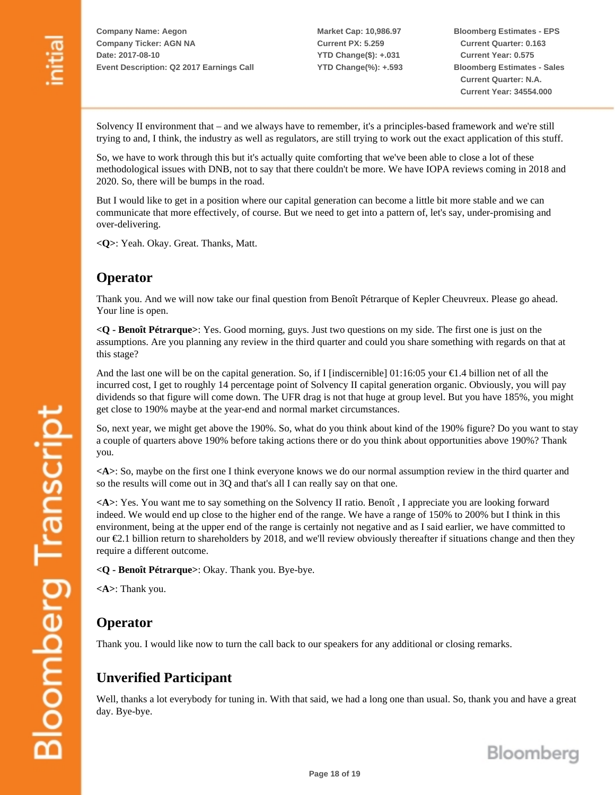**Market Cap: 10,986.97 Current PX: 5.259 YTD Change(\$): +.031 YTD Change(%): +.593** **Bloomberg Estimates - EPS Current Quarter: 0.163 Current Year: 0.575 Bloomberg Estimates - Sales Current Quarter: N.A. Current Year: 34554.000**

Solvency II environment that – and we always have to remember, it's a principles-based framework and we're still trying to and, I think, the industry as well as regulators, are still trying to work out the exact application of this stuff.

So, we have to work through this but it's actually quite comforting that we've been able to close a lot of these methodological issues with DNB, not to say that there couldn't be more. We have IOPA reviews coming in 2018 and 2020. So, there will be bumps in the road.

But I would like to get in a position where our capital generation can become a little bit more stable and we can communicate that more effectively, of course. But we need to get into a pattern of, let's say, under-promising and over-delivering.

**<Q>**: Yeah. Okay. Great. Thanks, Matt.

### **Operator**

Thank you. And we will now take our final question from Benoît Pétrarque of Kepler Cheuvreux. Please go ahead. Your line is open.

**<Q - Benoît Pétrarque>**: Yes. Good morning, guys. Just two questions on my side. The first one is just on the assumptions. Are you planning any review in the third quarter and could you share something with regards on that at this stage?

And the last one will be on the capital generation. So, if I [indiscernible]  $01:16:05$  your  $\in$ 1.4 billion net of all the incurred cost, I get to roughly 14 percentage point of Solvency II capital generation organic. Obviously, you will pay dividends so that figure will come down. The UFR drag is not that huge at group level. But you have 185%, you might get close to 190% maybe at the year-end and normal market circumstances.

So, next year, we might get above the 190%. So, what do you think about kind of the 190% figure? Do you want to stay a couple of quarters above 190% before taking actions there or do you think about opportunities above 190%? Thank you.

**<A>**: So, maybe on the first one I think everyone knows we do our normal assumption review in the third quarter and so the results will come out in 3Q and that's all I can really say on that one.

**<A>**: Yes. You want me to say something on the Solvency II ratio. Benoît , I appreciate you are looking forward indeed. We would end up close to the higher end of the range. We have a range of 150% to 200% but I think in this environment, being at the upper end of the range is certainly not negative and as I said earlier, we have committed to our €2.1 billion return to shareholders by 2018, and we'll review obviously thereafter if situations change and then they require a different outcome.

**<Q - Benoît Pétrarque>**: Okay. Thank you. Bye-bye.

**<A>**: Thank you.

#### **Operator**

Thank you. I would like now to turn the call back to our speakers for any additional or closing remarks.

## **Unverified Participant**

Well, thanks a lot everybody for tuning in. With that said, we had a long one than usual. So, thank you and have a great day. Bye-bye.